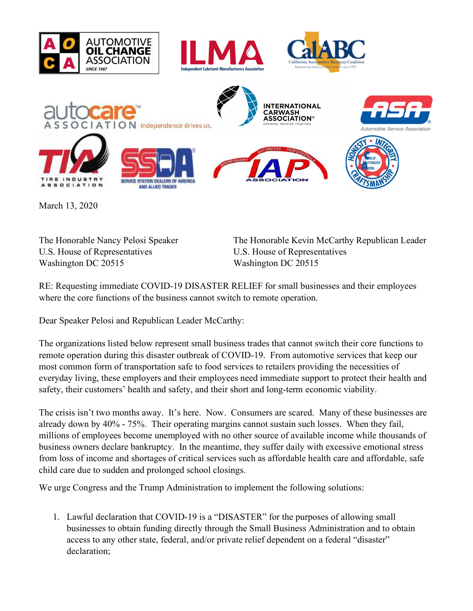



March 13, 2020

**SOCIATION** 

U.S. House of Representatives U.S. House of Representatives Washington DC 20515 Washington DC 20515

The Honorable Nancy Pelosi Speaker The Honorable Kevin McCarthy Republican Leader

RE: Requesting immediate COVID-19 DISASTER RELIEF for small businesses and their employees where the core functions of the business cannot switch to remote operation.

Dear Speaker Pelosi and Republican Leader McCarthy:

**STATION DEALERS OF AME** 

AND ALLIED TRADES

The organizations listed below represent small business trades that cannot switch their core functions to remote operation during this disaster outbreak of COVID-19. From automotive services that keep our most common form of transportation safe to food services to retailers providing the necessities of everyday living, these employers and their employees need immediate support to protect their health and safety, their customers' health and safety, and their short and long-term economic viability.

The crisis isn't two months away. It's here. Now. Consumers are scared. Many of these businesses are already down by 40% - 75%. Their operating margins cannot sustain such losses. When they fail, millions of employees become unemployed with no other source of available income while thousands of business owners declare bankruptcy. In the meantime, they suffer daily with excessive emotional stress from loss of income and shortages of critical services such as affordable health care and affordable, safe child care due to sudden and prolonged school closings.

We urge Congress and the Trump Administration to implement the following solutions:

1. Lawful declaration that COVID-19 is a "DISASTER" for the purposes of allowing small businesses to obtain funding directly through the Small Business Administration and to obtain access to any other state, federal, and/or private relief dependent on a federal "disaster" declaration;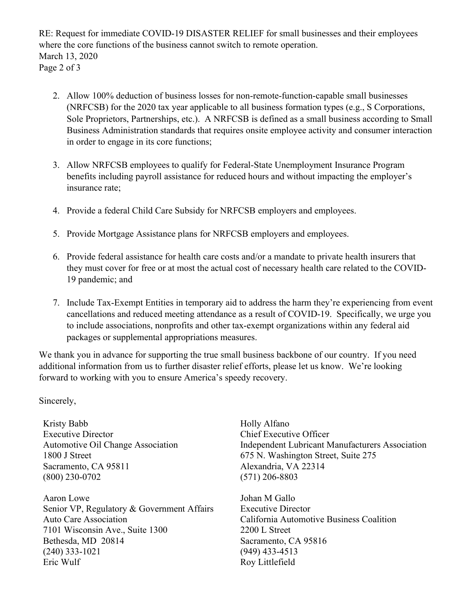RE: Request for immediate COVID-19 DISASTER RELIEF for small businesses and their employees where the core functions of the business cannot switch to remote operation. March 13, 2020 Page 2 of 3

- 2. Allow 100% deduction of business losses for non-remote-function-capable small businesses (NRFCSB) for the 2020 tax year applicable to all business formation types (e.g., S Corporations, Sole Proprietors, Partnerships, etc.). A NRFCSB is defined as a small business according to Small Business Administration standards that requires onsite employee activity and consumer interaction in order to engage in its core functions;
- 3. Allow NRFCSB employees to qualify for Federal-State Unemployment Insurance Program benefits including payroll assistance for reduced hours and without impacting the employer's insurance rate;
- 4. Provide a federal Child Care Subsidy for NRFCSB employers and employees.
- 5. Provide Mortgage Assistance plans for NRFCSB employers and employees.
- 6. Provide federal assistance for health care costs and/or a mandate to private health insurers that they must cover for free or at most the actual cost of necessary health care related to the COVID-19 pandemic; and
- 7. Include Tax-Exempt Entities in temporary aid to address the harm they're experiencing from event cancellations and reduced meeting attendance as a result of COVID-19. Specifically, we urge you to include associations, nonprofits and other tax-exempt organizations within any federal aid packages or supplemental appropriations measures.

We thank you in advance for supporting the true small business backbone of our country. If you need additional information from us to further disaster relief efforts, please let us know. We're looking forward to working with you to ensure America's speedy recovery.

Sincerely,

Kristy Babb Executive Director Automotive Oil Change Association 1800 J Street Sacramento, CA 95811 (800) 230-0702

Aaron Lowe Senior VP, Regulatory & Government Affairs Auto Care Association 7101 Wisconsin Ave., Suite 1300 Bethesda, MD 20814 (240) 333-1021 Eric Wulf Roy Littlefield

Holly Alfano Chief Executive Officer Independent Lubricant Manufacturers Association 675 N. Washington Street, Suite 275 Alexandria, VA 22314 (571) 206-8803

Johan M Gallo Executive Director California Automotive Business Coalition 2200 L Street Sacramento, CA 95816 (949) 433-4513